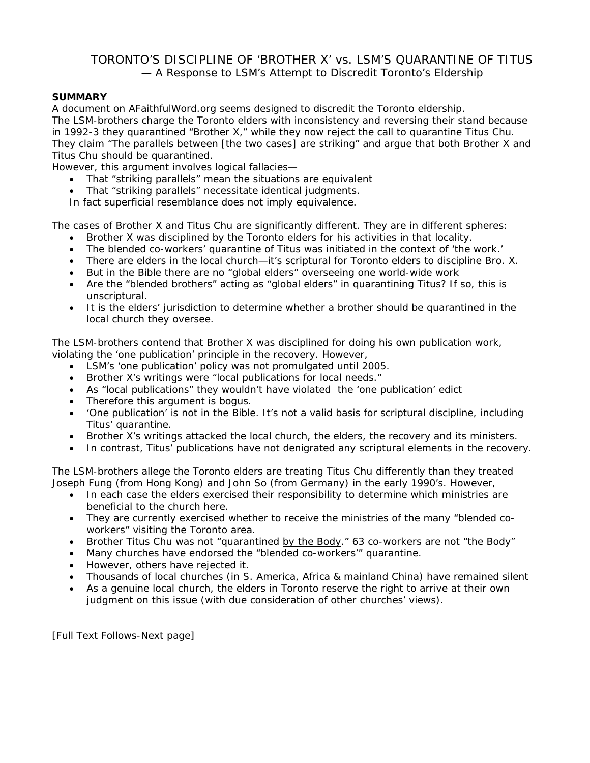# TORONTO'S DISCIPLINE OF 'BROTHER X' vs. LSM'S QUARANTINE OF TITUS — A Response to LSM's Attempt to Discredit Toronto's Eldership

## **SUMMARY**

A document on AFaithfulWord.org seems designed to discredit the Toronto eldership. The LSM-brothers charge the Toronto elders with inconsistency and reversing their stand because in 1992-3 they quarantined "Brother X," while they now reject the call to quarantine Titus Chu. They claim "*The parallels between* [the two cases] *are striking*" and argue that both Brother X and Titus Chu should be quarantined.

However, this argument involves logical fallacies—

- That "striking parallels" mean the situations are equivalent
- That "striking parallels" necessitate identical judgments.

In fact superficial resemblance does not imply equivalence.

The cases of Brother X and Titus Chu are significantly different. They are in different spheres:

- Brother X was disciplined by the Toronto elders for his activities in that locality.
- The blended co-workers' quarantine of Titus was initiated in the context of 'the work.'
- There are elders in the local church—it's scriptural for Toronto elders to discipline Bro. X.
- But in the Bible there are no "global elders" overseeing one world-wide work
- Are the "blended brothers" acting as "global elders" in quarantining Titus? If so, this is unscriptural.
- It is the elders' jurisdiction to determine whether a brother should be quarantined in the local church they oversee.

The LSM-brothers contend that Brother X was disciplined for doing his own publication work, violating the 'one publication' principle in the recovery. However,

- LSM's 'one publication' policy was not promulgated until 2005.
- Brother X's writings were "local publications for local needs."
- As "local publications" they wouldn't have violated the 'one publication' edict
- Therefore this argument is bogus.
- 'One publication' is not in the Bible. It's not a valid basis for scriptural discipline, including Titus' quarantine.
- Brother X's writings attacked the local church, the elders, the recovery and its ministers.
- In contrast, Titus' publications have not denigrated any scriptural elements in the recovery.

The LSM-brothers allege the Toronto elders are treating Titus Chu differently than they treated Joseph Fung (from Hong Kong) and John So (from Germany) in the early 1990's. However,

- In each case the elders exercised their responsibility to determine which ministries are beneficial to the church here.
- They are currently exercised whether to receive the ministries of the many "blended coworkers" visiting the Toronto area.
- Brother Titus Chu was not "quarantined by the Body." 63 co-workers are not "the Body"
- Many churches have endorsed the "blended co-workers'" quarantine.
- However, others have rejected it.
- Thousands of local churches (in S. America, Africa & mainland China) have remained silent
- As a genuine local church, the elders in Toronto reserve the right to arrive at their own judgment on this issue (with due consideration of other churches' views).

[Full Text Follows-Next page]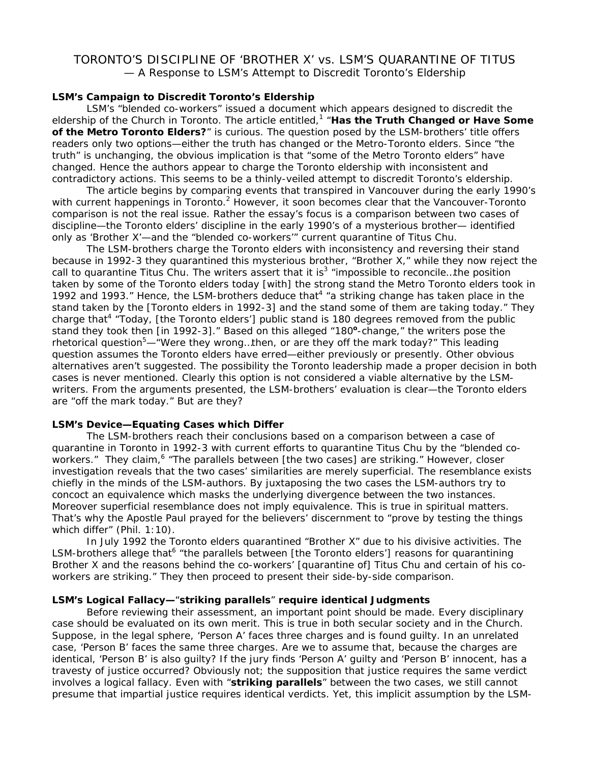## TORONTO'S DISCIPLINE OF 'BROTHER X' vs. LSM'S QUARANTINE OF TITUS — A Response to LSM's Attempt to Discredit Toronto's Eldership

## **LSM's Campaign to Discredit Toronto's Eldership**

 LSM's "blended co-workers" issued a document which appears designed to discredit the eldership of the Church in Toronto. The article entitled,<sup>1</sup> "*Has the Truth Changed or Have Some of the Metro Toronto Elders?*" is curious. The question posed by the LSM-brothers' title offers readers only two options—either the truth has changed or the Metro-Toronto elders. Since "the truth" is unchanging, the obvious implication is that "some of the Metro Toronto elders" have changed. Hence the authors appear to charge the Toronto eldership with inconsistent and contradictory actions. This seems to be a thinly-veiled attempt to discredit Toronto's eldership.

 The article begins by comparing events that transpired in Vancouver during the early 1990's with current happenings in Toronto.<sup>2</sup> However, it soon becomes clear that the Vancouver-Toronto comparison is not the real issue. Rather the essay's focus is a comparison between two cases of discipline—the Toronto elders' discipline in the early 1990's of a mysterious brother— identified only as 'Brother X'—and the "blended co-workers'" current quarantine of Titus Chu.

 The LSM-brothers charge the Toronto elders with inconsistency and reversing their stand because in 1992-3 they quarantined this mysterious brother, "Brother X," while they now reject the call to quarantine Titus Chu. The writers assert that it is<sup>3</sup> "*impossible to reconcile...the position taken by some of the Toronto elders today* [with] *the strong stand the Metro Toronto elders took in*  1992 and 1993." Hence, the LSM-brothers deduce that<sup>4</sup> "a striking change has taken place in the *stand taken by the* [Toronto elders in 1992-3] *and the stand some of them are taking today*." They charge that<sup>4</sup> "*Today*, [the Toronto elders'] *public stand is 180 degrees removed from the public* stand they took then [in 1992-3]." Based on this alleged "180°-change," the writers pose the rhetorical question5 —"*Were they wrong…then, or are they off the mark today?"* This leading question assumes the Toronto elders have erred—either previously or presently. Other obvious alternatives aren't suggested. The possibility the Toronto leadership made a proper decision in both cases is never mentioned. Clearly this option is not considered a viable alternative by the LSMwriters. From the arguments presented, the LSM-brothers' evaluation is clear—the Toronto elders are "*off the mark today."* But are they?

#### **LSM's Device—Equating Cases which Differ**

 The LSM-brothers reach their conclusions based on a comparison between a case of quarantine in Toronto in 1992-3 with current efforts to quarantine Titus Chu by the "blended coworkers." They claim,<sup>6</sup> "*The parallels between* [the two cases] *are striking."* However, closer investigation reveals that the two cases' similarities are merely superficial. The resemblance exists chiefly in the minds of the LSM-authors. By juxtaposing the two cases the LSM-authors try to concoct an equivalence which masks the underlying divergence between the two instances. Moreover superficial resemblance does not imply equivalence. This is true in spiritual matters. That's why the Apostle Paul prayed for the believers' discernment to "prove by testing the things which differ" (Phil. 1:10).

 In July 1992 the Toronto elders quarantined "Brother X" due to his divisive activities. The LSM-brothers allege that<sup>6</sup> "the parallels between [the Toronto elders'] reasons for quarantining *Brother X and the reasons behind the co-workers' [quarantine of] Titus Chu and certain of his coworkers are striking.*" They then proceed to present their side-by-side comparison.

#### **LSM's Logical Fallacy—**"*striking parallels*" **require identical Judgments**

 Before reviewing their assessment, an important point should be made. Every disciplinary case should be evaluated on its own merit. This is true in both secular society and in the Church. Suppose, in the legal sphere, 'Person A' faces three charges and is found guilty. In an unrelated case, 'Person B' faces the same three charges. Are we to assume that, because the charges are identical, 'Person B' is also guilty? If the jury finds 'Person A' guilty and 'Person B' innocent, has a travesty of justice occurred? Obviously not; the supposition that justice requires the same verdict involves a logical fallacy. Even with "*striking parallels*" between the two cases, we still cannot presume that impartial justice requires identical verdicts. Yet, this implicit assumption by the LSM-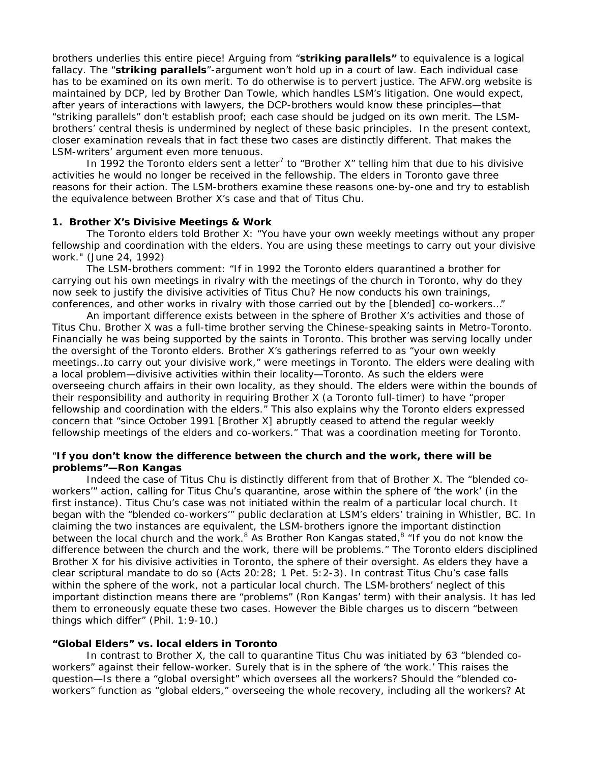brothers underlies this entire piece! Arguing from "*striking parallels"* to equivalence is a logical fallacy. The "*striking parallels*"-argument won't hold up in a court of law. Each individual case has to be examined on its own merit. To do otherwise is to pervert justice. The AFW.org website is maintained by DCP, led by Brother Dan Towle, which handles LSM's litigation. One would expect, after years of interactions with lawyers, the DCP-brothers would know these principles—that "striking parallels" don't establish proof; each case should be judged on its own merit. The LSMbrothers' central thesis is undermined by neglect of these basic principles. In the present context, closer examination reveals that in fact these two cases are distinctly different. That makes the LSM-writers' argument even more tenuous.

In 1992 the Toronto elders sent a letter<sup>7</sup> to "Brother X" telling him that due to his divisive activities he would no longer be received in the fellowship. The elders in Toronto gave three reasons for their action. The LSM-brothers examine these reasons one-by-one and try to establish the equivalence between Brother X's case and that of Titus Chu.

#### **1. Brother X's Divisive Meetings & Work**

 The Toronto elders told Brother X: "*You have your own weekly meetings without any proper fellowship and coordination with the elders. You are using these meetings to carry out your divisive work.*" (June 24, 1992)

 The LSM-brothers comment: "*If in 1992 the Toronto elders quarantined a brother for carrying out his own meetings in rivalry with the meetings of the church in Toronto, why do they now seek to justify the divisive activities of Titus Chu? He now conducts his own trainings, conferences, and other works in rivalry with those carried out by the [blended] co-workers*…"

 An important difference exists between in the sphere of Brother X's activities and those of Titus Chu. Brother X was a full-time brother serving the Chinese-speaking saints in Metro-Toronto. Financially he was being supported by the saints in Toronto. This brother was serving locally under the oversight of the Toronto elders. Brother X's gatherings referred to as "your own weekly meetings…to carry out your divisive work," were meetings in Toronto. The elders were dealing with a local problem—divisive activities within their locality—Toronto. As such the elders were overseeing church affairs in their own locality, as they should. The elders were within the bounds of their responsibility and authority in requiring Brother X (a Toronto full-timer) to have "proper fellowship and coordination with the elders." This also explains why the Toronto elders expressed concern that "*since October 1991* [Brother X] *abruptly ceased to attend the regular weekly fellowship meetings of the elders and co-workers.*" That was a coordination meeting for Toronto.

## "**If you don't know the difference between the church and the work, there will be problems"—Ron Kangas**

 Indeed the case of Titus Chu is distinctly different from that of Brother X. The "blended coworkers'" action, calling for Titus Chu's quarantine, arose within the sphere of 'the work' (in the first instance). Titus Chu's case was not initiated within the realm of a particular local church. It began with the "blended co-workers'" public declaration at LSM's elders' training in Whistler, BC. In claiming the two instances are equivalent, the LSM-brothers ignore the important distinction between the local church and the work.<sup>8</sup> As Brother Ron Kangas stated,<sup>8</sup> "If you do not know the *difference between the church and the work, there will be problems."* The Toronto elders disciplined Brother X for his divisive activities in Toronto, the sphere of their oversight. As elders they have a clear scriptural mandate to do so (Acts 20:28; 1 Pet. 5:2-3). In contrast Titus Chu's case falls within the sphere of the work, not a particular local church. The LSM-brothers' neglect of this important distinction means there are "*problems*" (Ron Kangas' term) with their analysis. It has led them to erroneously equate these two cases. However the Bible charges us to discern "*between things which differ*" (Phil. 1:9-10.)

#### **"Global Elders" vs. local elders in Toronto**

 In contrast to Brother X, the call to quarantine Titus Chu was initiated by 63 "blended coworkers" against their fellow-worker. Surely that is in the sphere of 'the work.' This raises the question—Is there a "global oversight" which oversees all the workers? Should the "blended coworkers" function as "global elders," overseeing the whole recovery, including all the workers? At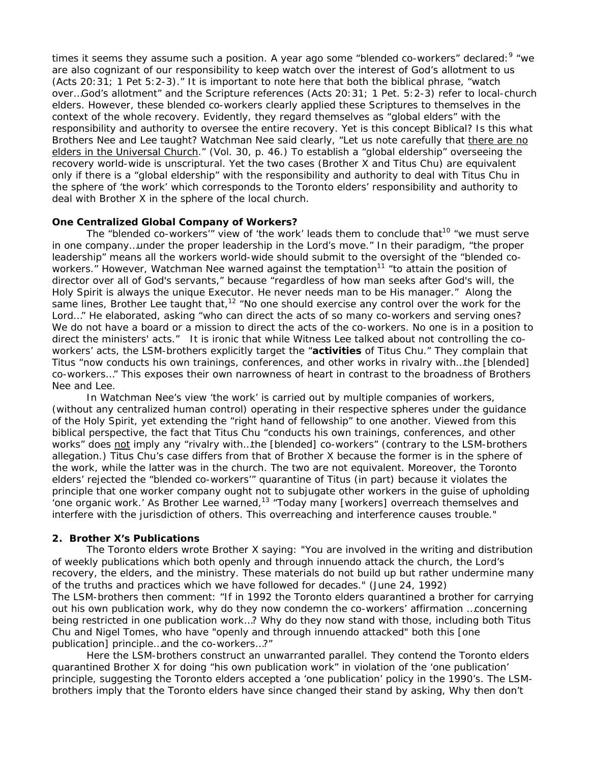times it seems they assume such a position. A year ago some "blended co-workers" declared:<sup>9</sup> "we *are also cognizant of our responsibility to keep watch over the interest of God's allotment to us (Acts 20:31; 1 Pet 5:2-3)."* It is important to note here that both the biblical phrase, "*watch over…God's allotment"* and the Scripture references *(Acts 20:31; 1 Pet. 5:2-3)* refer to local-church elders. However, these blended co-workers clearly applied these Scriptures to themselves in the context of the whole recovery. Evidently, they regard themselves as "global elders" with the responsibility and authority to oversee the entire recovery. Yet is this concept Biblical? Is this what Brothers Nee and Lee taught? Watchman Nee said clearly, "*Let us note carefully that there are no elders in the Universal Church."* (Vol. 30, p. 46.) To establish a "global eldership" overseeing the recovery world-wide is unscriptural. Yet the two cases (Brother X and Titus Chu) are equivalent only if there is a "global eldership" with the responsibility and authority to deal with Titus Chu in the sphere of 'the work' which corresponds to the Toronto elders' responsibility and authority to deal with Brother X in the sphere of the local church.

## **One Centralized Global Company of Workers?**

The "blended co-workers'" view of 'the work' leads them to conclude that<sup>10</sup> "*we must serve in one company…under the proper leadership in the Lord's move."* In their paradigm, *"the proper leadership"* means all the workers world-wide should submit to the oversight of the "blended coworkers." However, Watchman Nee warned against the temptation<sup>11</sup> "*to attain the position of director over all of God's servants,*" because "*regardless of how man seeks after God's will, the Holy Spirit is always the unique Executor. He never needs man to be His manager."* Along the same lines, Brother Lee taught that,<sup>12</sup> *"No one should exercise any control over the work for the Lord…"* He elaborated, asking *"who can direct the acts of so many co-workers and serving ones? We do not have a board or a mission to direct the acts of the co-workers. No one is in a position to direct the ministers' acts."* It is ironic that while Witness Lee talked about not controlling the coworkers' acts, the LSM-brothers explicitly target the "*activities of Titus Chu.*" They complain that Titus "*now conducts his own trainings, conferences, and other works in rivalry with…the [blended] co-workers*…" This exposes their own narrowness of heart in contrast to the broadness of Brothers Nee and Lee.

 In Watchman Nee's view 'the work' is carried out by multiple companies of workers, (without any centralized human control) operating in their respective spheres under the guidance of the Holy Spirit, yet extending the "right hand of fellowship" to one another. Viewed from this biblical perspective, the fact that Titus Chu "*conducts his own trainings, conferences, and other works"* does not imply any *"rivalry with…the [blended] co-workers*" (contrary to the LSM-brothers allegation.) Titus Chu's case differs from that of Brother X because the former is in the sphere of the work, while the latter was in the church. The two are not equivalent. Moreover, the Toronto elders' rejected the "blended co-workers'" quarantine of Titus (in part) because it violates the principle that one worker company ought not to subjugate other workers in the guise of upholding 'one organic work.' As Brother Lee warned,13 "*Today many* [workers] *overreach themselves and interfere with the jurisdiction of others. This overreaching and interference causes trouble."* 

## **2. Brother X's Publications**

 The Toronto elders wrote Brother X saying: "*You are involved in the writing and distribution of weekly publications which both openly and through innuendo attack the church, the Lord's recovery, the elders, and the ministry. These materials do not build up but rather undermine many of the truths and practices which we have followed for decades*." (June 24, 1992) The LSM-brothers then comment: "*If in 1992 the Toronto elders quarantined a brother for carrying out his own publication work, why do they now condemn the co-workers' affirmation …concerning being restricted in one publication work…? Why do they now stand with those, including both Titus Chu and Nigel Tomes, who have "openly and through innuendo attacked" both this [one publication] principle…and the co-workers…?"* 

 Here the LSM-brothers construct an unwarranted parallel. They contend the Toronto elders quarantined Brother X for doing "*his own publication work*" in violation of the 'one publication' principle, suggesting the Toronto elders accepted a 'one publication' policy in the 1990's. The LSMbrothers imply that the Toronto elders have since changed their stand by asking, Why then don't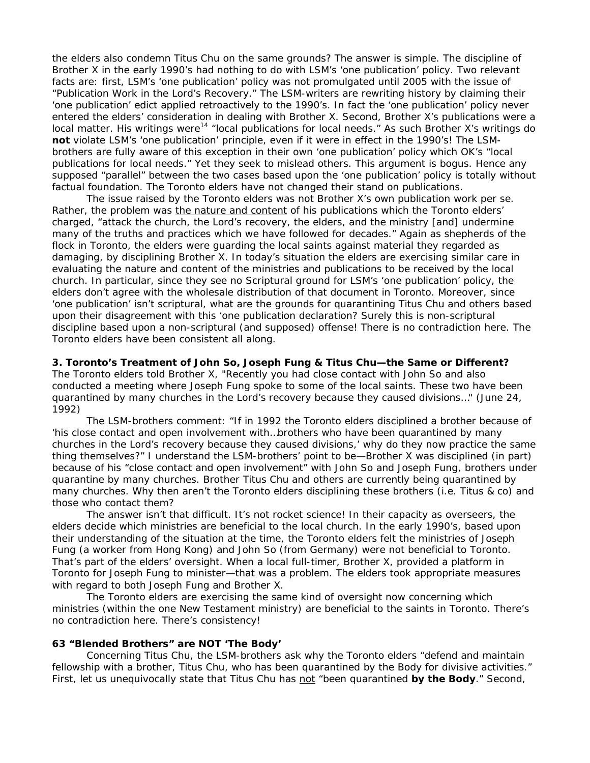the elders also condemn Titus Chu on the same grounds? The answer is simple. The discipline of Brother X in the early 1990's had nothing to do with LSM's 'one publication' policy. Two relevant facts are: first, LSM's 'one publication' policy was not promulgated until 2005 with the issue of "*Publication Work in the Lord's Recovery*." The LSM-writers are rewriting history by claiming their 'one publication' edict applied retroactively to the 1990's. In fact the 'one publication' policy never entered the elders' consideration in dealing with Brother X. Second, Brother X's publications were a local matter. His writings were<sup>14</sup> "local publications for local needs." As such Brother X's writings do **not** violate LSM's 'one publication' principle, even if it were in effect in the 1990's! The LSMbrothers are fully aware of this exception in their own 'one publication' policy which OK's "local publications for local needs." Yet they seek to mislead others. This argument is bogus. Hence any supposed "parallel" between the two cases based upon the 'one publication' policy is totally without factual foundation. The Toronto elders have not changed their stand on publications.

 The issue raised by the Toronto elders was not Brother X's own publication work *per se*. Rather, the problem was the nature and content of his publications which the Toronto elders' charged, "*attack the church, the Lord's recovery, the elders, and the ministry [and] undermine many of the truths and practices which we have followed for decades."* Again as shepherds of the flock in Toronto, the elders were guarding the local saints against material they regarded as damaging, by disciplining Brother X. In today's situation the elders are exercising similar care in evaluating the nature and content of the ministries and publications to be received by the local church. In particular, since they see no Scriptural ground for LSM's 'one publication' policy, the elders don't agree with the wholesale distribution of that document in Toronto. Moreover, since 'one publication' isn't scriptural, what are the grounds for quarantining Titus Chu and others based upon their disagreement with this 'one publication declaration? Surely this is non-scriptural discipline based upon a non-scriptural (and supposed) offense! There is no contradiction here. The Toronto elders have been consistent all along.

**3. Toronto's Treatment of John So, Joseph Fung & Titus Chu—the Same or Different?**  The Toronto elders told Brother X, "*Recently you had close contact with John So and also conducted a meeting where Joseph Fung spoke to some of the local saints. These two have been quarantined by many churches in the Lord's recovery because they caused divisions…*" (June 24, 1992)

 The LSM-brothers comment: "*If in 1992 the Toronto elders disciplined a brother because of 'his close contact and open involvement with…brothers who have been quarantined by many churches in the Lord's recovery because they caused divisions,' why do they now practice the same thing themselves?*" I understand the LSM-brothers' point to be—Brother X was disciplined (in part) because of his "close contact and open involvement" with John So and Joseph Fung, brothers under quarantine by many churches. Brother Titus Chu and others are currently being quarantined by many churches. Why then aren't the Toronto elders disciplining these brothers (i.e. Titus & co) and those who contact them?

 The answer isn't that difficult. It's not rocket science! In their capacity as overseers, the elders decide which ministries are beneficial to the local church. In the early 1990's, based upon their understanding of the situation at the time, the Toronto elders felt the ministries of Joseph Fung (a worker from Hong Kong) and John So (from Germany) were not beneficial to Toronto. That's part of the elders' oversight. When a local full-timer, Brother X, provided a platform in Toronto for Joseph Fung to minister—that was a problem. The elders took appropriate measures with regard to both Joseph Fung and Brother X.

 The Toronto elders are exercising the same kind of oversight now concerning which ministries (within the one New Testament ministry) are beneficial to the saints in Toronto. There's no contradiction here. There's consistency!

## **63 "Blended Brothers" are NOT 'The Body'**

 Concerning Titus Chu, the LSM-brothers ask why the Toronto elders "*defend and maintain fellowship with a brother, Titus Chu, who has been quarantined by the Body for divisive activities.*" First, let us unequivocally state that Titus Chu has not "been quarantined by the Body." Second,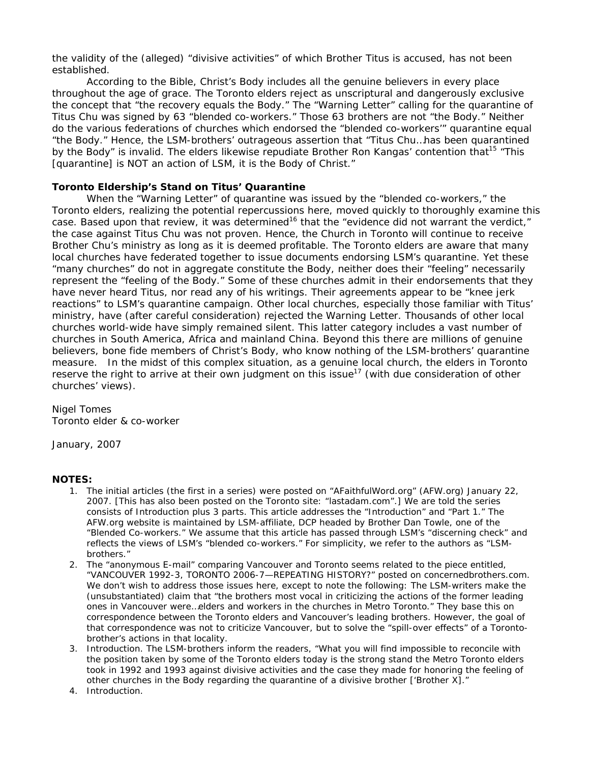the validity of the (alleged) "divisive activities" of which Brother Titus is accused, has not been established.

 According to the Bible, Christ's Body includes all the genuine believers in every place throughout the age of grace. The Toronto elders reject as unscriptural and dangerously exclusive the concept that "*the recovery equals the Body*." The "Warning Letter" calling for the quarantine of Titus Chu was signed by 63 "blended co-workers." Those 63 brothers are not "the Body." Neither do the various federations of churches which endorsed the "blended co-workers'" quarantine equal "the Body." Hence, the LSM-brothers' outrageous assertion that "*Titus Chu…has been quarantined by the Body"* is invalid. The elders likewise repudiate Brother Ron Kangas' contention that<sup>15</sup> "*This [quarantine] is NOT an action of LSM, it is the Body of Christ*."

## **Toronto Eldership's Stand on Titus' Quarantine**

 When the "Warning Letter" of quarantine was issued by the "blended co-workers," the Toronto elders, realizing the potential repercussions here, moved quickly to thoroughly examine this case. Based upon that review, it was determined<sup>16</sup> that the "evidence did not warrant the verdict," the case against Titus Chu was not proven. Hence, the Church in Toronto will continue to receive Brother Chu's ministry as long as it is deemed profitable. The Toronto elders are aware that many local churches have federated together to issue documents endorsing LSM's quarantine. Yet these "many churches" do not in aggregate constitute the Body, neither does their "feeling" necessarily represent the "feeling of the Body." Some of these churches admit in their endorsements that they have never heard Titus, nor read any of his writings. Their agreements appear to be "knee jerk reactions" to LSM's quarantine campaign. Other local churches, especially those familiar with Titus' ministry, have (after careful consideration) rejected the Warning Letter. Thousands of other local churches world-wide have simply remained silent. This latter category includes a vast number of churches in South America, Africa and mainland China. Beyond this there are millions of genuine believers, *bone fide* members of Christ's Body, who know nothing of the LSM-brothers' quarantine measure. In the midst of this complex situation, as a genuine local church, the elders in Toronto reserve the right to arrive at their own judgment on this issue<sup>17</sup> (with due consideration of other churches' views).

Nigel Tomes Toronto elder & co-worker

January, 2007

## **NOTES:**

- 1. The initial articles (the first in a series) were posted on "AFaithfulWord.org" (AFW.org) January 22, 2007. [This has also been posted on the Toronto site: "lastadam.com".] We are told the series consists of Introduction plus 3 parts. This article addresses the "Introduction" and "Part 1." The AFW.org website is maintained by LSM-affiliate, DCP headed by Brother Dan Towle, one of the "Blended Co-workers." We assume that this article has passed through LSM's "discerning check" and reflects the views of LSM's "blended co-workers." For simplicity, we refer to the authors as "LSMbrothers."
- 2. The "anonymous E-mail" comparing Vancouver and Toronto seems related to the piece entitled, "VANCOUVER 1992-3, TORONTO 2006-7—REPEATING HISTORY?" posted on concernedbrothers.com. We don't wish to address those issues here, except to note the following: The LSM-writers make the (unsubstantiated) claim that "*the brothers most vocal in criticizing the actions of the former leading ones in Vancouver were…elders and workers in the churches in Metro Toronto*." They base this on correspondence between the Toronto elders and Vancouver's leading brothers. However, the goal of that correspondence was not to criticize Vancouver, but to solve the "spill-over effects" of a Torontobrother's actions in that locality.
- 3. Introduction. The LSM-brothers inform the readers, "What you will find impossible to reconcile with the position taken by some of the Toronto elders today is the strong stand the Metro Toronto elders took in 1992 and 1993 against divisive activities and the case they made for honoring the feeling of other churches in the Body regarding the quarantine of a divisive brother ['Brother X]."
- 4. Introduction.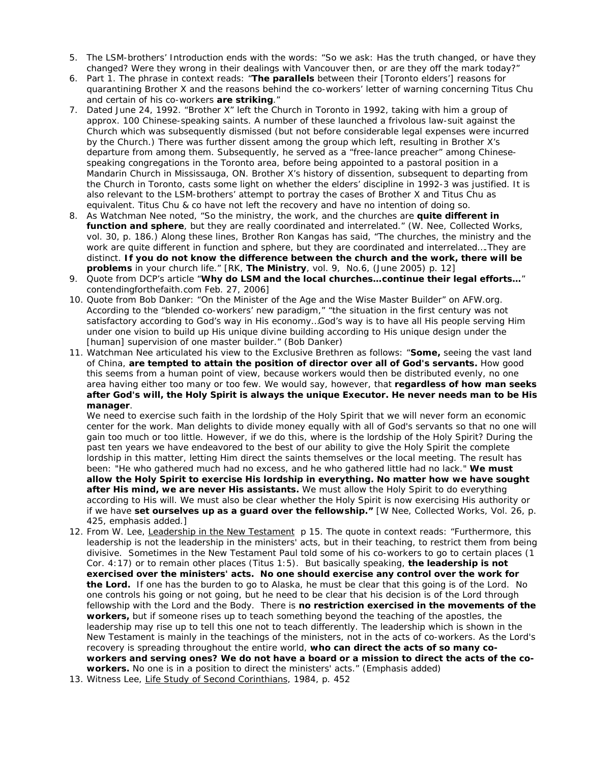- 5. The LSM-brothers' Introduction ends with the words: "So we ask: Has the truth changed, or have they changed? Were they wrong in their dealings with Vancouver then, or are they off the mark today?"
- 6. Part 1. The phrase in context reads: "**The parallels** between their [Toronto elders'] reasons for quarantining Brother X and the reasons behind the co-workers' letter of warning concerning Titus Chu and certain of his co-workers **are striking**."
- 7. Dated June 24, 1992. "Brother X" left the Church in Toronto in 1992, taking with him a group of approx. 100 Chinese-speaking saints. A number of these launched a frivolous law-suit against the Church which was subsequently dismissed (but not before considerable legal expenses were incurred by the Church.) There was further dissent among the group which left, resulting in Brother X's departure from among them. Subsequently, he served as a "free-lance preacher" among Chinesespeaking congregations in the Toronto area, before being appointed to a pastoral position in a Mandarin Church in Mississauga, ON. Brother X's history of dissention, subsequent to departing from the Church in Toronto, casts some light on whether the elders' discipline in 1992-3 was justified. It is also relevant to the LSM-brothers' attempt to portray the cases of Brother X and Titus Chu as equivalent. Titus Chu & co have not left the recovery and have no intention of doing so.
- 8. As Watchman Nee noted, "*So the ministry, the work, and the churches are quite different in function and sphere, but they are really coordinated and interrelated."* (W. Nee, Collected Works, vol. 30, p. 186.) Along these lines, Brother Ron Kangas has said, "The churches, the ministry and the work are quite different in function and sphere, but they are coordinated and interrelated....They are distinct. **If you do not know the difference between the church and the work, there will be problems** in your church life." [RK, *The Ministry*, vol. 9, No.6, (June 2005) p. 12]
- 9. Quote from DCP's article "**Why do LSM and the local churches…continue their legal efforts…**" contendingforthefaith.com Feb. 27, 2006]
- 10. Quote from Bob Danker: "On the Minister of the Age and the Wise Master Builder" on AFW.org. According to the "blended co-workers' new paradigm," *"the situation in the first century was not satisfactory according to God's way in His economy…God's way is to have all His people serving Him under one vision to build up His unique divine building according to His unique design under the [human] supervision of one master builder."* (Bob Danker*)*
- 11. Watchman Nee articulated his view to the Exclusive Brethren as follows: "**Some,** seeing the vast land of China, **are tempted to attain the position of director over all of God's servants.** How good this seems from a human point of view, because workers would then be distributed evenly, no one area having either too many or too few. We would say, however, that **regardless of how man seeks after God's will, the Holy Spirit is always the unique Executor. He never needs man to be His manager**.

We need to exercise such faith in the lordship of the Holy Spirit that we will never form an economic center for the work. Man delights to divide money equally with all of God's servants so that no one will gain too much or too little. However, if we do this, where is the lordship of the Holy Spirit? During the past ten years we have endeavored to the best of our ability to give the Holy Spirit the complete lordship in this matter, letting Him direct the saints themselves or the local meeting. The result has been: "He who gathered much had no excess, and he who gathered little had no lack." **We must allow the Holy Spirit to exercise His lordship in everything. No matter how we have sought after His mind, we are never His assistants.** We must allow the Holy Spirit to do everything according to His will. We must also be clear whether the Holy Spirit is now exercising His authority or if we have **set ourselves up as a guard over the fellowship."** [W Nee, Collected Works, Vol. 26, p. 425, emphasis added.]

- 12. From W. Lee, Leadership in the New Testament p 15. The quote in context reads: "Furthermore, this leadership is not the leadership in the ministers' acts, but in their teaching, to restrict them from being divisive. Sometimes in the New Testament Paul told some of his co-workers to go to certain places (1 Cor. 4:17) or to remain other places (Titus 1:5). But basically speaking, **the leadership is not exercised over the ministers' acts. No one should exercise any control over the work for the Lord.** If one has the burden to go to Alaska, he must be clear that this going is of the Lord. No one controls his going or not going, but he need to be clear that his decision is of the Lord through fellowship with the Lord and the Body. There is **no restriction exercised in the movements of the workers,** but if someone rises up to teach something beyond the teaching of the apostles, the leadership may rise up to tell this one not to teach differently. The leadership which is shown in the New Testament is mainly in the teachings of the ministers, not in the acts of co-workers. As the Lord's recovery is spreading throughout the entire world, **who can direct the acts of so many coworkers and serving ones? We do not have a board or a mission to direct the acts of the coworkers.** No one is in a position to direct the ministers' acts." (Emphasis added)
- 13. Witness Lee, Life Study of Second Corinthians, 1984, p. 452